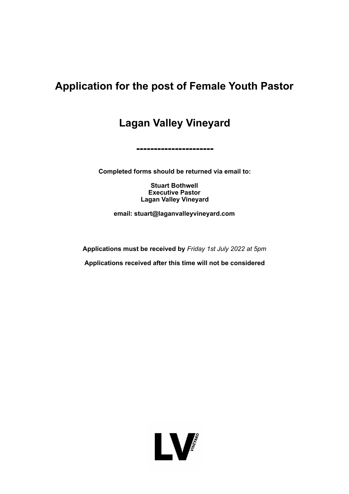# **Application for the post of Female Youth Pastor**

**Lagan Valley Vineyard** 

**Completed forms should be returned via email to:** 

**----------------------** 

**Stuart Bothwell Executive Pastor Lagan Valley Vineyard** 

**email: stuart@laganvalleyvineyard.com** 

**Applications must be received by** *Friday 1st July 2022 at 5pm* 

**Applications received after this time will not be considered** 

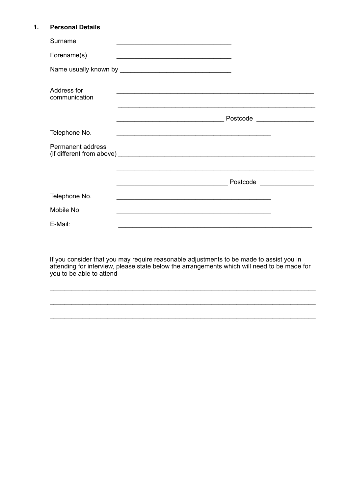#### $1.$ **Personal Details**

| Surname                      |                                                                                                                       |  |
|------------------------------|-----------------------------------------------------------------------------------------------------------------------|--|
| Forename(s)                  |                                                                                                                       |  |
|                              |                                                                                                                       |  |
| Address for<br>communication | <u> 1989 - Johann John Stein, mars an deus Amerikaansk kommunister (</u>                                              |  |
|                              | Postcode ___________________                                                                                          |  |
| Telephone No.                |                                                                                                                       |  |
| Permanent address            |                                                                                                                       |  |
|                              |                                                                                                                       |  |
|                              | Postcode Postcode<br><u> 2008 - Jan Barnett, fransk politik (d. 18</u>                                                |  |
| Telephone No.                | <u> 1989 - Johann Stoff, deutscher Stoff, der Stoff, der Stoff, der Stoff, der Stoff, der Stoff, der Stoff, der S</u> |  |
| Mobile No.                   |                                                                                                                       |  |
| E-Mail:                      |                                                                                                                       |  |

If you consider that you may require reasonable adjustments to be made to assist you in attending for interview, please state below the arrangements which will need to be made for you to be able to attend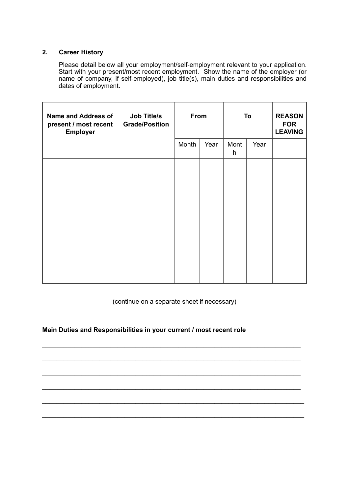# **2. Career History**

 Please detail below all your employment/self-employment relevant to your application. Start with your present/most recent employment. Show the name of the employer (or name of company, if self-employed), job title(s), main duties and responsibilities and dates of employment.

| <b>Name and Address of</b><br>present / most recent<br><b>Employer</b> | <b>Job Title/s</b><br><b>Grade/Position</b> | From  |      |           | To   | <b>REASON</b><br><b>FOR</b><br><b>LEAVING</b> |
|------------------------------------------------------------------------|---------------------------------------------|-------|------|-----------|------|-----------------------------------------------|
|                                                                        |                                             | Month | Year | Mont<br>h | Year |                                               |
|                                                                        |                                             |       |      |           |      |                                               |
|                                                                        |                                             |       |      |           |      |                                               |
|                                                                        |                                             |       |      |           |      |                                               |
|                                                                        |                                             |       |      |           |      |                                               |
|                                                                        |                                             |       |      |           |      |                                               |
|                                                                        |                                             |       |      |           |      |                                               |

(continue on a separate sheet if necessary)

 $\mathcal{L}_\text{G}$  , and the set of the set of the set of the set of the set of the set of the set of the set of the set of the set of the set of the set of the set of the set of the set of the set of the set of the set of the

 $\mathcal{L}_\text{G}$  , and the set of the set of the set of the set of the set of the set of the set of the set of the set of the set of the set of the set of the set of the set of the set of the set of the set of the set of the

 $\mathcal{L}_\text{G}$  , and the set of the set of the set of the set of the set of the set of the set of the set of the set of the set of the set of the set of the set of the set of the set of the set of the set of the set of the

 $\mathcal{L}_\text{G}$  , and the set of the set of the set of the set of the set of the set of the set of the set of the set of the set of the set of the set of the set of the set of the set of the set of the set of the set of the

\_\_\_\_\_\_\_\_\_\_\_\_\_\_\_\_\_\_\_\_\_\_\_\_\_\_\_\_\_\_\_\_\_\_\_\_\_\_\_\_\_\_\_\_\_\_\_\_\_\_\_\_\_\_\_\_\_\_\_\_\_\_\_\_\_\_\_\_\_\_\_\_\_

\_\_\_\_\_\_\_\_\_\_\_\_\_\_\_\_\_\_\_\_\_\_\_\_\_\_\_\_\_\_\_\_\_\_\_\_\_\_\_\_\_\_\_\_\_\_\_\_\_\_\_\_\_\_\_\_\_\_\_\_\_\_\_\_\_\_\_\_\_\_\_\_\_

# **Main Duties and Responsibilities in your current / most recent role**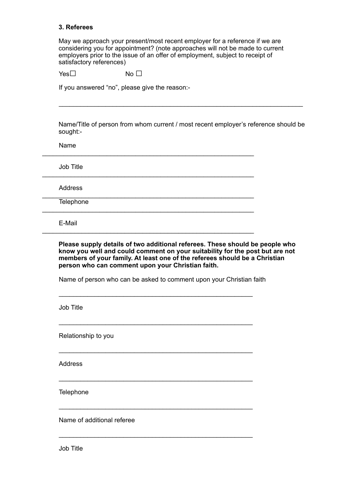#### **3. Referees**

May we approach your present/most recent employer for a reference if we are considering you for appointment? (note approaches will not be made to current employers prior to the issue of an offer of employment, subject to receipt of satisfactory references)

 $\mathcal{L}_\text{max}$  , and the contribution of the contribution of the contribution of the contribution of the contribution of the contribution of the contribution of the contribution of the contribution of the contribution of t

\_\_\_\_\_\_\_\_\_\_\_\_\_\_\_\_\_\_\_\_\_\_\_\_\_\_\_\_\_\_\_\_\_\_\_\_\_\_\_\_\_\_\_\_\_\_\_\_\_\_\_\_\_\_\_\_\_\_\_

\_\_\_\_\_\_\_\_\_\_\_\_\_\_\_\_\_\_\_\_\_\_\_\_\_\_\_\_\_\_\_\_\_\_\_\_\_\_\_\_\_\_\_\_\_\_\_\_\_\_\_\_\_\_\_\_\_\_\_

\_\_\_\_\_\_\_\_\_\_\_\_\_\_\_\_\_\_\_\_\_\_\_\_\_\_\_\_\_\_\_\_\_\_\_\_\_\_\_\_\_\_\_\_\_\_\_\_\_\_\_\_\_\_\_\_\_\_\_

\_\_\_\_\_\_\_\_\_\_\_\_\_\_\_\_\_\_\_\_\_\_\_\_\_\_\_\_\_\_\_\_\_\_\_\_\_\_\_\_\_\_\_\_\_\_\_\_\_\_\_\_\_\_\_\_\_\_\_

\_\_\_\_\_\_\_\_\_\_\_\_\_\_\_\_\_\_\_\_\_\_\_\_\_\_\_\_\_\_\_\_\_\_\_\_\_\_\_\_\_\_\_\_\_\_\_\_\_\_\_\_\_\_\_\_\_\_\_

 $\mathcal{L} = \{ \mathcal{L}_1, \mathcal{L}_2, \ldots, \mathcal{L}_n, \mathcal{L}_n, \mathcal{L}_n, \ldots, \mathcal{L}_n, \mathcal{L}_n, \mathcal{L}_n, \mathcal{L}_n, \ldots, \mathcal{L}_n, \mathcal{L}_n, \mathcal{L}_n, \ldots, \mathcal{L}_n, \mathcal{L}_n, \mathcal{L}_n, \ldots, \mathcal{L}_n, \mathcal{L}_n, \mathcal{L}_n, \ldots, \mathcal{L}_n, \mathcal{L}_n, \mathcal{L}_n, \ldots, \mathcal{L}_n, \mathcal{L}_n$ 

 $\overline{\phantom{a}}$  ,  $\overline{\phantom{a}}$  ,  $\overline{\phantom{a}}$  ,  $\overline{\phantom{a}}$  ,  $\overline{\phantom{a}}$  ,  $\overline{\phantom{a}}$  ,  $\overline{\phantom{a}}$  ,  $\overline{\phantom{a}}$  ,  $\overline{\phantom{a}}$  ,  $\overline{\phantom{a}}$  ,  $\overline{\phantom{a}}$  ,  $\overline{\phantom{a}}$  ,  $\overline{\phantom{a}}$  ,  $\overline{\phantom{a}}$  ,  $\overline{\phantom{a}}$  ,  $\overline{\phantom{a}}$ 

 $\overline{\phantom{a}}$  ,  $\overline{\phantom{a}}$  ,  $\overline{\phantom{a}}$  ,  $\overline{\phantom{a}}$  ,  $\overline{\phantom{a}}$  ,  $\overline{\phantom{a}}$  ,  $\overline{\phantom{a}}$  ,  $\overline{\phantom{a}}$  ,  $\overline{\phantom{a}}$  ,  $\overline{\phantom{a}}$  ,  $\overline{\phantom{a}}$  ,  $\overline{\phantom{a}}$  ,  $\overline{\phantom{a}}$  ,  $\overline{\phantom{a}}$  ,  $\overline{\phantom{a}}$  ,  $\overline{\phantom{a}}$ 

 $\mathcal{L} = \{ \mathcal{L}_1, \mathcal{L}_2, \ldots, \mathcal{L}_n \}$ 

 $\mathcal{L} = \{ \mathcal{L}_1, \mathcal{L}_2, \ldots, \mathcal{L}_n \}$ 

 $\mathcal{L} = \{ \mathcal{L}_1, \mathcal{L}_2, \ldots, \mathcal{L}_n \}$ 

 $Yes \Box$  No  $\Box$ 

If you answered "no", please give the reason:-

Name/Title of person from whom current / most recent employer's reference should be sought:-

Name

Job Title

Address

**Telephone** 

E-Mail

**Please supply details of two additional referees. These should be people who know you well and could comment on your suitability for the post but are not members of your family. At least one of the referees should be a Christian person who can comment upon your Christian faith.** 

Name of person who can be asked to comment upon your Christian faith

Job Title

Relationship to you

Address

**Telephone** 

Name of additional referee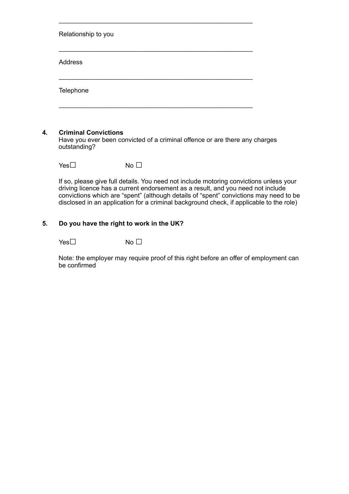Relationship to you

Address

**Telephone** 

#### **4. Criminal Convictions**

Have you ever been convicted of a criminal offence or are there any charges outstanding?

 $\mathcal{L} = \{ \mathcal{L}_1, \mathcal{L}_2, \ldots, \mathcal{L}_n, \mathcal{L}_n, \mathcal{L}_n, \ldots, \mathcal{L}_n, \mathcal{L}_n, \mathcal{L}_n, \mathcal{L}_n, \ldots, \mathcal{L}_n, \mathcal{L}_n, \mathcal{L}_n, \ldots, \mathcal{L}_n, \mathcal{L}_n, \mathcal{L}_n, \ldots, \mathcal{L}_n, \mathcal{L}_n, \mathcal{L}_n, \ldots, \mathcal{L}_n, \mathcal{L}_n, \mathcal{L}_n, \ldots, \mathcal{L}_n, \mathcal{L}_n$ 

 $\mathcal{L} = \{ \mathcal{L}_1, \mathcal{L}_2, \ldots, \mathcal{L}_n, \mathcal{L}_n, \mathcal{L}_n, \ldots, \mathcal{L}_n, \mathcal{L}_n, \mathcal{L}_n, \mathcal{L}_n, \ldots, \mathcal{L}_n, \mathcal{L}_n, \mathcal{L}_n, \ldots, \mathcal{L}_n, \mathcal{L}_n, \mathcal{L}_n, \ldots, \mathcal{L}_n, \mathcal{L}_n, \mathcal{L}_n, \ldots, \mathcal{L}_n, \mathcal{L}_n, \mathcal{L}_n, \ldots, \mathcal{L}_n, \mathcal{L}_n$ 

 $\overline{\phantom{a}}$  ,  $\overline{\phantom{a}}$  ,  $\overline{\phantom{a}}$  ,  $\overline{\phantom{a}}$  ,  $\overline{\phantom{a}}$  ,  $\overline{\phantom{a}}$  ,  $\overline{\phantom{a}}$  ,  $\overline{\phantom{a}}$  ,  $\overline{\phantom{a}}$  ,  $\overline{\phantom{a}}$  ,  $\overline{\phantom{a}}$  ,  $\overline{\phantom{a}}$  ,  $\overline{\phantom{a}}$  ,  $\overline{\phantom{a}}$  ,  $\overline{\phantom{a}}$  ,  $\overline{\phantom{a}}$ 

 $\overline{\phantom{a}}$  ,  $\overline{\phantom{a}}$  ,  $\overline{\phantom{a}}$  ,  $\overline{\phantom{a}}$  ,  $\overline{\phantom{a}}$  ,  $\overline{\phantom{a}}$  ,  $\overline{\phantom{a}}$  ,  $\overline{\phantom{a}}$  ,  $\overline{\phantom{a}}$  ,  $\overline{\phantom{a}}$  ,  $\overline{\phantom{a}}$  ,  $\overline{\phantom{a}}$  ,  $\overline{\phantom{a}}$  ,  $\overline{\phantom{a}}$  ,  $\overline{\phantom{a}}$  ,  $\overline{\phantom{a}}$ 

 $Yes \Box$  No  $\Box$ 

If so, please give full details. You need not include motoring convictions unless your driving licence has a current endorsement as a result, and you need not include convictions which are "spent" (although details of "spent" convictions may need to be disclosed in an application for a criminal background check, if applicable to the role)

# **5. Do you have the right to work in the UK?**

 $Yes \Box$  No  $\Box$ 

Note: the employer may require proof of this right before an offer of employment can be confirmed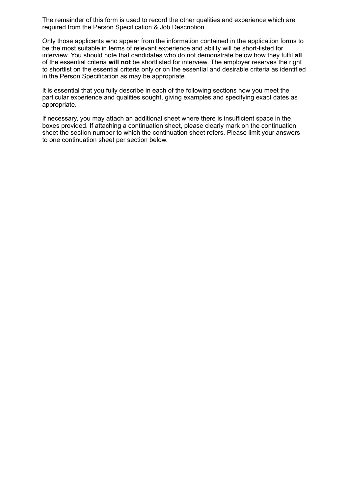The remainder of this form is used to record the other qualities and experience which are required from the Person Specification & Job Description.

Only those applicants who appear from the information contained in the application forms to be the most suitable in terms of relevant experience and ability will be short-listed for interview. You should note that candidates who do not demonstrate below how they fulfil **all**  of the essential criteria **will not** be shortlisted for interview. The employer reserves the right to shortlist on the essential criteria only or on the essential and desirable criteria as identified in the Person Specification as may be appropriate.

It is essential that you fully describe in each of the following sections how you meet the particular experience and qualities sought, giving examples and specifying exact dates as appropriate.

If necessary, you may attach an additional sheet where there is insufficient space in the boxes provided. If attaching a continuation sheet, please clearly mark on the continuation sheet the section number to which the continuation sheet refers. Please limit your answers to one continuation sheet per section below.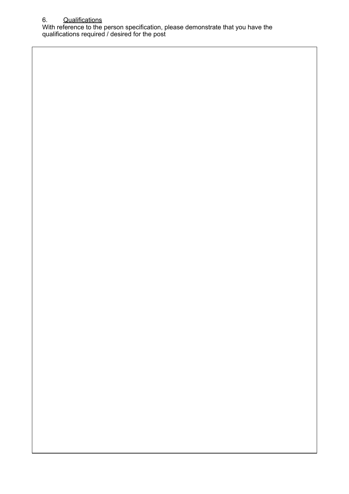# 6. Qualifications

With reference to the person specification, please demonstrate that you have the qualifications required / desired for the post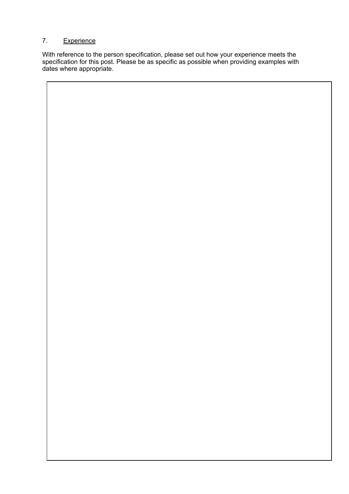# 7. Experience

With reference to the person specification, please set out how your experience meets the specification for this post. Please be as specific as possible when providing examples with dates where appropriate.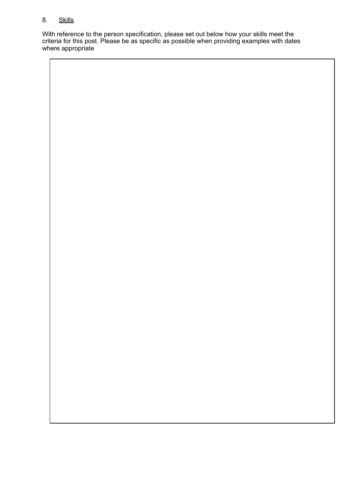# 8. Skills

With reference to the person specification, please set out below how your skills meet the criteria for this post. Please be as specific as possible when providing examples with dates where appropriate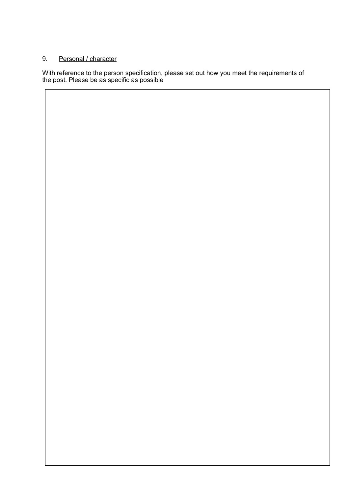# 9. Personal / character

With reference to the person specification, please set out how you meet the requirements of the post. Please be as specific as possible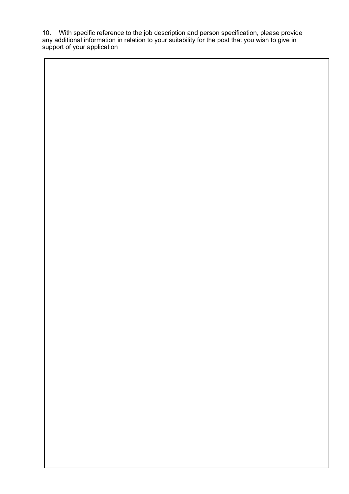10. With specific reference to the job description and person specification, please provide any additional information in relation to your suitability for the post that you wish to give in support of your application